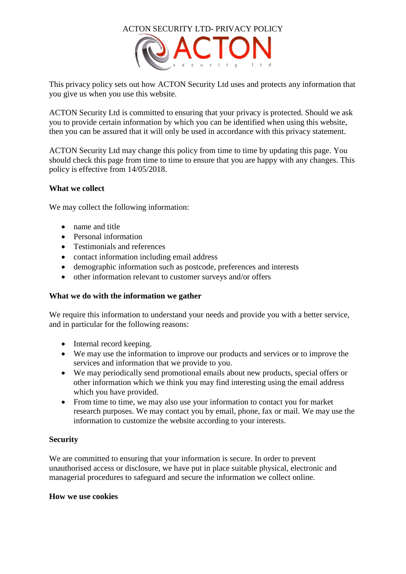

This privacy policy sets out how ACTON Security Ltd uses and protects any information that you give us when you use this website.

ACTON Security Ltd is committed to ensuring that your privacy is protected. Should we ask you to provide certain information by which you can be identified when using this website, then you can be assured that it will only be used in accordance with this privacy statement.

ACTON Security Ltd may change this policy from time to time by updating this page. You should check this page from time to time to ensure that you are happy with any changes. This policy is effective from 14/05/2018.

# **What we collect**

We may collect the following information:

- name and title
- Personal information
- Testimonials and references
- contact information including email address
- demographic information such as postcode, preferences and interests
- other information relevant to customer surveys and/or offers

### **What we do with the information we gather**

We require this information to understand your needs and provide you with a better service, and in particular for the following reasons:

- Internal record keeping.
- We may use the information to improve our products and services or to improve the services and information that we provide to you.
- We may periodically send promotional emails about new products, special offers or other information which we think you may find interesting using the email address which you have provided.
- From time to time, we may also use your information to contact you for market research purposes. We may contact you by email, phone, fax or mail. We may use the information to customize the website according to your interests.

### **Security**

We are committed to ensuring that your information is secure. In order to prevent unauthorised access or disclosure, we have put in place suitable physical, electronic and managerial procedures to safeguard and secure the information we collect online.

### **How we use cookies**